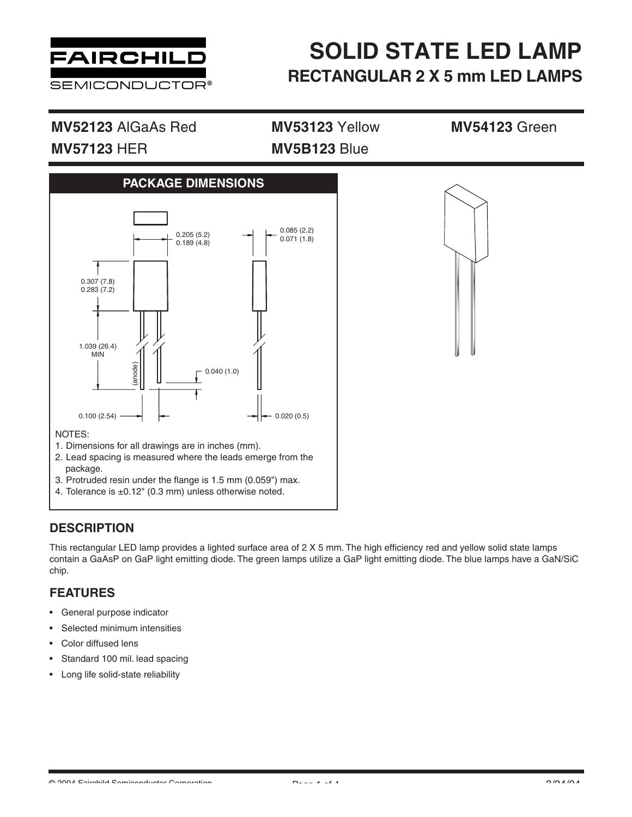

## **MV52123** AlGaAs Red **MV53123** Yellow **MV54123** Green **MV57123** HER **MV5B123** Blue

**PACKAGE DIMENSIONS** 0.205 (5.2)  $0.189(4.8)$ 0.307 (7.8) 0.283 (7.2) 1.039 (26.4) MIN 0.040 (1.0) (anode) 0.085 (2.2) 0.071 (1.8)  $0.100 (2.54) \longrightarrow$   $\leftarrow$  0.020 (0.5)



### NOTES:

- 1. Dimensions for all drawings are in inches (mm).
- 2. Lead spacing is measured where the leads emerge from the package.
- 3. Protruded resin under the flange is 1.5 mm (0.059") max.
- 4. Tolerance is ±0.12" (0.3 mm) unless otherwise noted.

## **DESCRIPTION**

This rectangular LED lamp provides a lighted surface area of 2 X 5 mm. The high efficiency red and yellow solid state lamps contain a GaAsP on GaP light emitting diode. The green lamps utilize a GaP light emitting diode. The blue lamps have a GaN/SiC chip.

## **FEATURES**

- General purpose indicator
- Selected minimum intensities
- Color diffused lens
- Standard 100 mil. lead spacing
- Long life solid-state reliability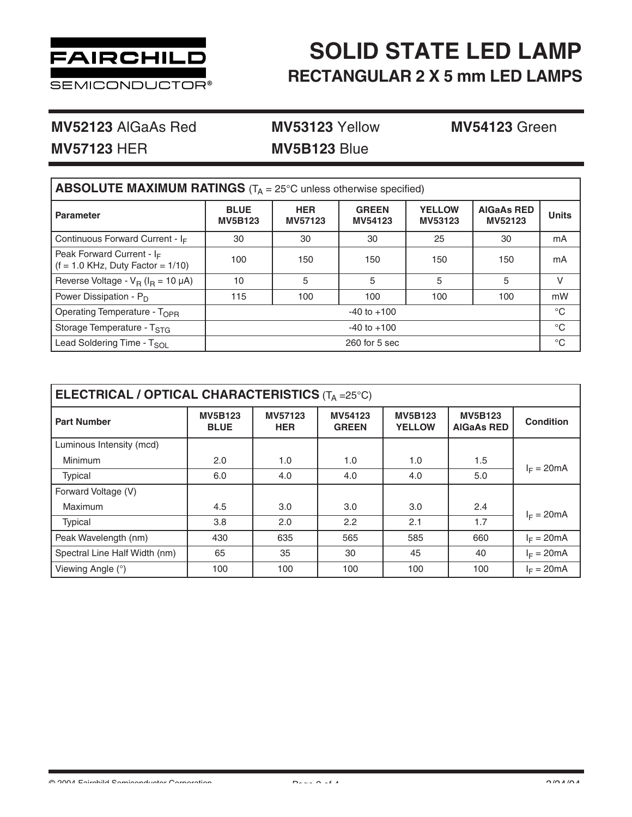

**MV52123** AlGaAs Red **MV53123** Yellow **MV54123** Green

**MV57123** HER **MV5B123** Blue

| <b>ABSOLUTE MAXIMUM RATINGS</b> ( $T_A = 25^\circ$ C unless otherwise specified) |                               |                       |                         |                          |                              |              |  |  |  |  |
|----------------------------------------------------------------------------------|-------------------------------|-----------------------|-------------------------|--------------------------|------------------------------|--------------|--|--|--|--|
| <b>Parameter</b>                                                                 | <b>BLUE</b><br><b>MV5B123</b> | <b>HER</b><br>MV57123 | <b>GREEN</b><br>MV54123 | <b>YELLOW</b><br>MV53123 | <b>AIGaAs RED</b><br>MV52123 | <b>Units</b> |  |  |  |  |
| Continuous Forward Current - $I_F$                                               | 30                            | 30                    | 30                      | 25                       | 30                           | mA           |  |  |  |  |
| Peak Forward Current - $I_F$<br>$(f = 1.0$ KHz, Duty Factor = $1/10$ )           | 100                           | 150                   | 150                     | 150                      | 150                          | mA           |  |  |  |  |
| Reverse Voltage - $V_B$ ( $I_B$ = 10 $\mu$ A)                                    | 10                            | 5                     | 5                       | 5                        | 5                            | V            |  |  |  |  |
| Power Dissipation - $P_D$                                                        | 115                           | 100                   | 100                     | 100                      | 100                          | mW           |  |  |  |  |
| Operating Temperature - T <sub>OPR</sub>                                         | $-40$ to $+100$               |                       |                         |                          |                              |              |  |  |  |  |
| Storage Temperature - T <sub>STG</sub>                                           | $-40$ to $+100$               |                       |                         |                          |                              |              |  |  |  |  |
| Lead Soldering Time - T <sub>SOL</sub>                                           | $260$ for 5 sec               |                       |                         |                          |                              |              |  |  |  |  |

| ELECTRICAL / OPTICAL CHARACTERISTICS $(T_A = 25^{\circ}C)$ |                               |                       |                         |                                 |                                     |                  |  |  |  |  |
|------------------------------------------------------------|-------------------------------|-----------------------|-------------------------|---------------------------------|-------------------------------------|------------------|--|--|--|--|
| <b>Part Number</b>                                         | <b>MV5B123</b><br><b>BLUE</b> | MV57123<br><b>HER</b> | MV54123<br><b>GREEN</b> | <b>MV5B123</b><br><b>YELLOW</b> | <b>MV5B123</b><br><b>AIGaAs RED</b> | <b>Condition</b> |  |  |  |  |
| Luminous Intensity (mcd)                                   |                               |                       |                         |                                 |                                     |                  |  |  |  |  |
| <b>Minimum</b>                                             | 2.0                           | 1.0                   | 1.0                     | 1.0                             | 1.5                                 | $I_F = 20mA$     |  |  |  |  |
| <b>Typical</b>                                             | 6.0                           | 4.0                   | 4.0                     | 4.0                             | 5.0                                 |                  |  |  |  |  |
| Forward Voltage (V)                                        |                               |                       |                         |                                 |                                     |                  |  |  |  |  |
| Maximum                                                    | 4.5                           | 3.0                   | 3.0                     | 3.0                             | 2.4                                 | $I_F = 20mA$     |  |  |  |  |
| <b>Typical</b>                                             | 3.8                           | 2.0                   | 2.2                     | 2.1                             | 1.7                                 |                  |  |  |  |  |
| Peak Wavelength (nm)                                       | 430                           | 635                   | 565                     | 585                             | 660                                 | $I_F = 20mA$     |  |  |  |  |
| Spectral Line Half Width (nm)                              | 65                            | 35                    | 30                      | 45                              | 40                                  | $I_F = 20mA$     |  |  |  |  |
| Viewing Angle (°)                                          | 100                           | 100                   | 100                     | 100                             | 100                                 | $I_F = 20mA$     |  |  |  |  |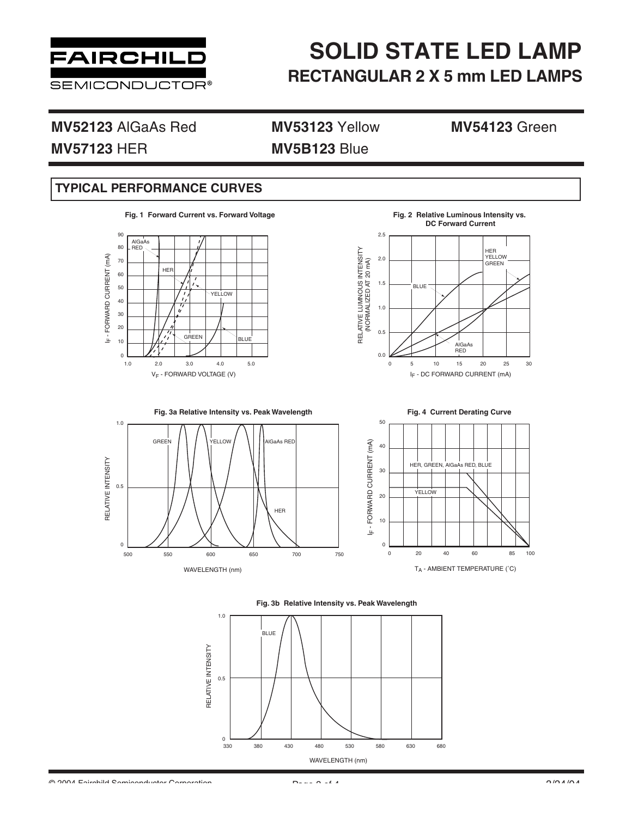

**MV52123** AlGaAs Red **MV53123** Yellow **MV54123** Green **MV57123** HER **MV5B123** Blue

## **TYPICAL PERFORMANCE CURVES**

**Fig. 1 Forward Current vs. Forward Voltage**



IF - DC FORWARD CURRENT (mA) RELATIVE LUMNOUS INTENSITY (NORMALIZED AT 20 mA) **DC Forward Current** 2.5 2.0 1.5 1.0 0.5 0.0 0 5 10 15 20 25 30 HER<br>YELLOW GREEN BLUE AlGaAs RED

**Fig. 2 Relative Luminous Intensity vs.** 











 $\bigcirc$  2004 Fairchild Comiconductor Corporation  $P = 2.24$